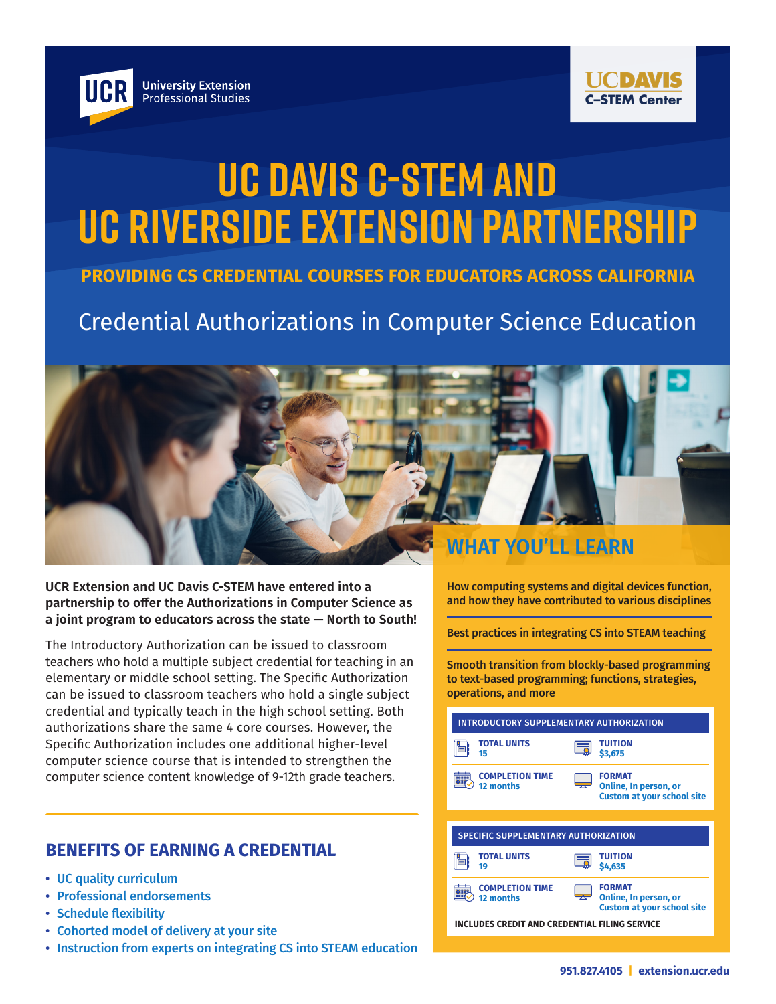



# **UC Davis C-STEM and UC Riverside Extension Partnership**

### **PROVIDING CS CREDENTIAL COURSES FOR EDUCATORS ACROSS CALIFORNIA**

## Credential Authorizations in Computer Science Education



**UCR Extension and UC Davis C-STEM have entered into a partnership to offer the Authorizations in Computer Science as a joint program to educators across the state — North to South!**

The Introductory Authorization can be issued to classroom teachers who hold a multiple subject credential for teaching in an elementary or middle school setting. The Specific Authorization can be issued to classroom teachers who hold a single subject credential and typically teach in the high school setting. Both authorizations share the same 4 core courses. However, the Specific Authorization includes one additional higher-level computer science course that is intended to strengthen the computer science content knowledge of 9-12th grade teachers.

How computing systems and digital devices function, and how they have contributed to various disciplines

Best practices in integrating CS into STEAM teaching

Smooth transition from blockly-based programming to text-based programming; functions, strategies, operations, and more

| INTRODUCTORY SUPPLEMENTARY AUTHORIZATION      |                                                                             |  |
|-----------------------------------------------|-----------------------------------------------------------------------------|--|
| <b>TOTAL UNITS</b><br>15                      | TUITION<br>\$3,675                                                          |  |
| <b>COMPLETION TIME</b><br>12 months           | <b>FORMAT</b><br>Online, In person, or<br><b>Custom at your school site</b> |  |
|                                               |                                                                             |  |
| <b>SPECIFIC SUPPLEMENTARY AUTHORIZATION</b>   |                                                                             |  |
| <b>TOTAL UNITS</b><br>19                      | TUITION<br>\$4,635                                                          |  |
| <b>COMPLETION TIME</b><br>12 months           | <b>FORMAT</b><br>Online, In person, or<br><b>Custom at your school site</b> |  |
| INCLUDES CREDIT AND CREDENTIAL FILING SERVICE |                                                                             |  |

#### **BENEFITS OF EARNING A CREDENTIAL**

- UC quality curriculum
- Professional endorsements
- Schedule flexibility
- Cohorted model of delivery at your site
- Instruction from experts on integrating CS into STEAM education